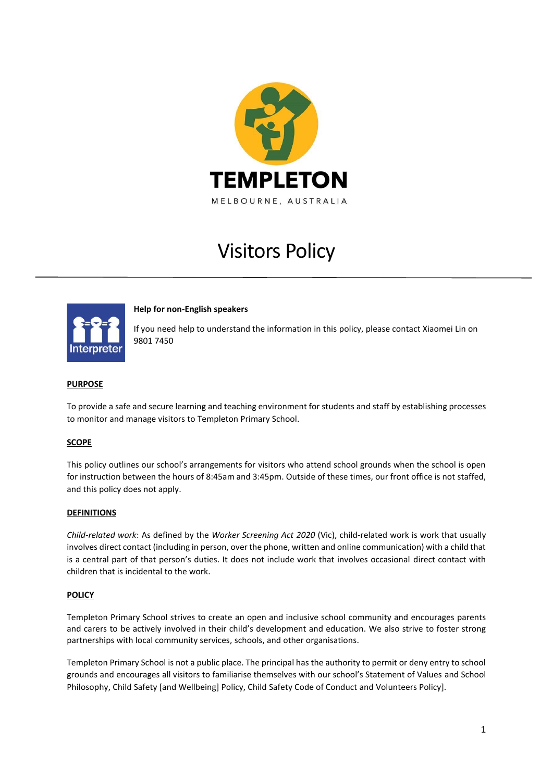

# Visitors Policy



**Help for non-English speakers**

If you need help to understand the information in this policy, please contact Xiaomei Lin on 9801 7450

#### **PURPOSE**

To provide a safe and secure learning and teaching environment for students and staff by establishing processes to monitor and manage visitors to Templeton Primary School.

#### **SCOPE**

This policy outlines our school's arrangements for visitors who attend school grounds when the school is open for instruction between the hours of 8:45am and 3:45pm. Outside of these times, our front office is not staffed, and this policy does not apply.

#### **DEFINITIONS**

*Child-related work*: As defined by the *Worker Screening Act 2020* (Vic), child-related work is work that usually involves direct contact (including in person, over the phone, written and online communication) with a child that is a central part of that person's duties. It does not include work that involves occasional direct contact with children that is incidental to the work.

#### **POLICY**

Templeton Primary School strives to create an open and inclusive school community and encourages parents and carers to be actively involved in their child's development and education. We also strive to foster strong partnerships with local community services, schools, and other organisations.

Templeton Primary School is not a public place. The principal has the authority to permit or deny entry to school grounds and encourages all visitors to familiarise themselves with our school's Statement of Values and School Philosophy, Child Safety [and Wellbeing] Policy, Child Safety Code of Conduct and Volunteers Policy].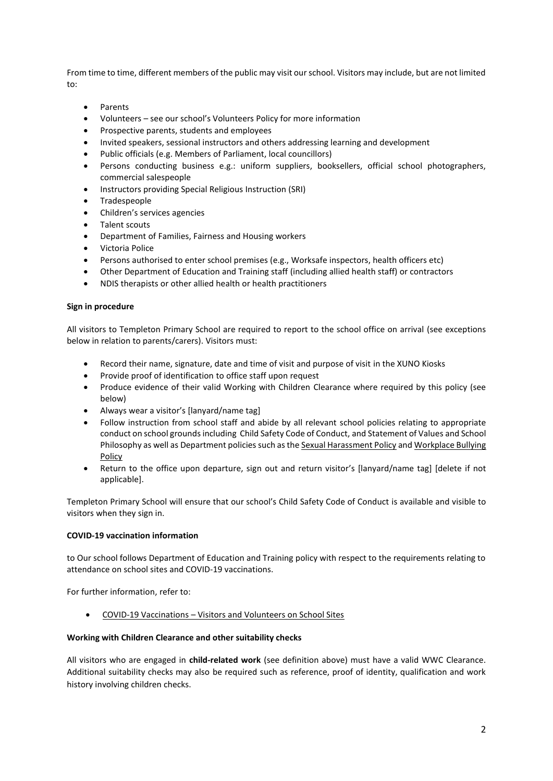From time to time, different members of the public may visit our school. Visitors may include, but are not limited to:

- Parents
- Volunteers see our school's Volunteers Policy for more information
- Prospective parents, students and employees
- Invited speakers, sessional instructors and others addressing learning and development
- Public officials (e.g. Members of Parliament, local councillors)
- Persons conducting business e.g.: uniform suppliers, booksellers, official school photographers, commercial salespeople
- Instructors providing Special Religious Instruction (SRI)
- Tradespeople
- Children's services agencies
- Talent scouts
- Department of Families, Fairness and Housing workers
- Victoria Police
- Persons authorised to enter school premises (e.g., Worksafe inspectors, health officers etc)
- Other Department of Education and Training staff (including allied health staff) or contractors
- NDIS therapists or other allied health or health practitioners

#### **Sign in procedure**

All visitors to Templeton Primary School are required to report to the school office on arrival (see exceptions below in relation to parents/carers). Visitors must:

- Record their name, signature, date and time of visit and purpose of visit in the XUNO Kiosks
- Provide proof of identification to office staff upon request
- Produce evidence of their valid Working with Children Clearance where required by this policy (see below)
- Always wear a visitor's [lanyard/name tag]
- Follow instruction from school staff and abide by all relevant school policies relating to appropriate conduct on school grounds including Child Safety Code of Conduct, and Statement of Values and School Philosophy as well as Department policies such as th[e Sexual Harassment Policy](https://www2.education.vic.gov.au/pal/sexual-harassment/overview) an[d Workplace Bullying](https://www2.education.vic.gov.au/pal/workplace-bullying/policy)  [Policy](https://www2.education.vic.gov.au/pal/workplace-bullying/policy)
- Return to the office upon departure, sign out and return visitor's [lanyard/name tag] [delete if not applicable].

Templeton Primary School will ensure that our school's Child Safety Code of Conduct is available and visible to visitors when they sign in.

#### **COVID-19 vaccination information**

to Our school follows Department of Education and Training policy with respect to the requirements relating to attendance on school sites and COVID-19 vaccinations.

For further information, refer to:

• COVID-19 Vaccinations – [Visitors and Volunteers on School Sites](https://www2.education.vic.gov.au/pal/covid-19-vaccinations-visitors-volunteers/policy)

#### **Working with Children Clearance and other suitability checks**

All visitors who are engaged in **child-related work** (see definition above) must have a valid WWC Clearance. Additional suitability checks may also be required such as reference, proof of identity, qualification and work history involving children checks.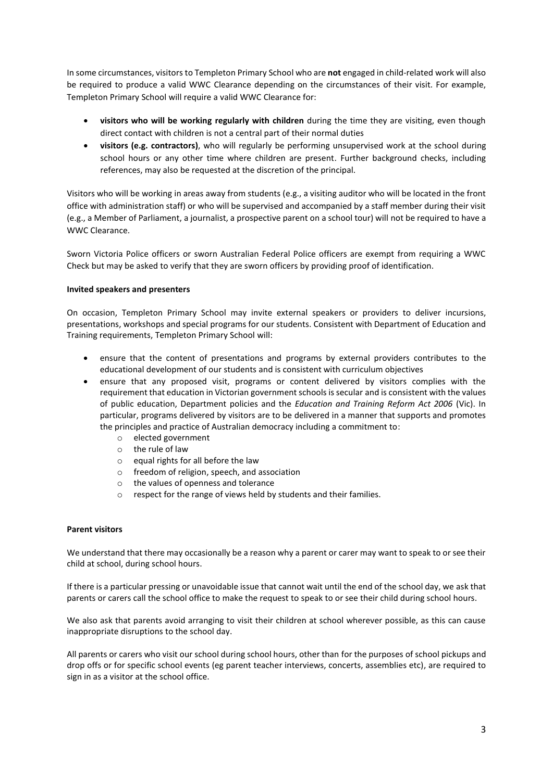In some circumstances, visitors to Templeton Primary School who are **not** engaged in child-related work will also be required to produce a valid WWC Clearance depending on the circumstances of their visit. For example, Templeton Primary School will require a valid WWC Clearance for:

- **visitors who will be working regularly with children** during the time they are visiting, even though direct contact with children is not a central part of their normal duties
- **visitors (e.g. contractors)**, who will regularly be performing unsupervised work at the school during school hours or any other time where children are present. Further background checks, including references, may also be requested at the discretion of the principal.

Visitors who will be working in areas away from students (e.g., a visiting auditor who will be located in the front office with administration staff) or who will be supervised and accompanied by a staff member during their visit (e.g., a Member of Parliament, a journalist, a prospective parent on a school tour) will not be required to have a WWC Clearance.

Sworn Victoria Police officers or sworn Australian Federal Police officers are exempt from requiring a WWC Check but may be asked to verify that they are sworn officers by providing proof of identification.

# **Invited speakers and presenters**

On occasion, Templeton Primary School may invite external speakers or providers to deliver incursions, presentations, workshops and special programs for our students. Consistent with Department of Education and Training requirements, Templeton Primary School will:

- ensure that the content of presentations and programs by external providers contributes to the educational development of our students and is consistent with curriculum objectives
- ensure that any proposed visit, programs or content delivered by visitors complies with the requirement that education in Victorian government schools is secular and is consistent with the values of public education, Department policies and the *Education and Training Reform Act 2006* (Vic). In particular, programs delivered by visitors are to be delivered in a manner that supports and promotes the principles and practice of Australian democracy including a commitment to:
	- o elected government
	- o the rule of law
	- o equal rights for all before the law
	- o freedom of religion, speech, and association
	- o the values of openness and tolerance
	- o respect for the range of views held by students and their families.

# **Parent visitors**

We understand that there may occasionally be a reason why a parent or carer may want to speak to or see their child at school, during school hours.

If there is a particular pressing or unavoidable issue that cannot wait until the end of the school day, we ask that parents or carers call the school office to make the request to speak to or see their child during school hours.

We also ask that parents avoid arranging to visit their children at school wherever possible, as this can cause inappropriate disruptions to the school day.

All parents or carers who visit our school during school hours, other than for the purposes of school pickups and drop offs or for specific school events (eg parent teacher interviews, concerts, assemblies etc), are required to sign in as a visitor at the school office.